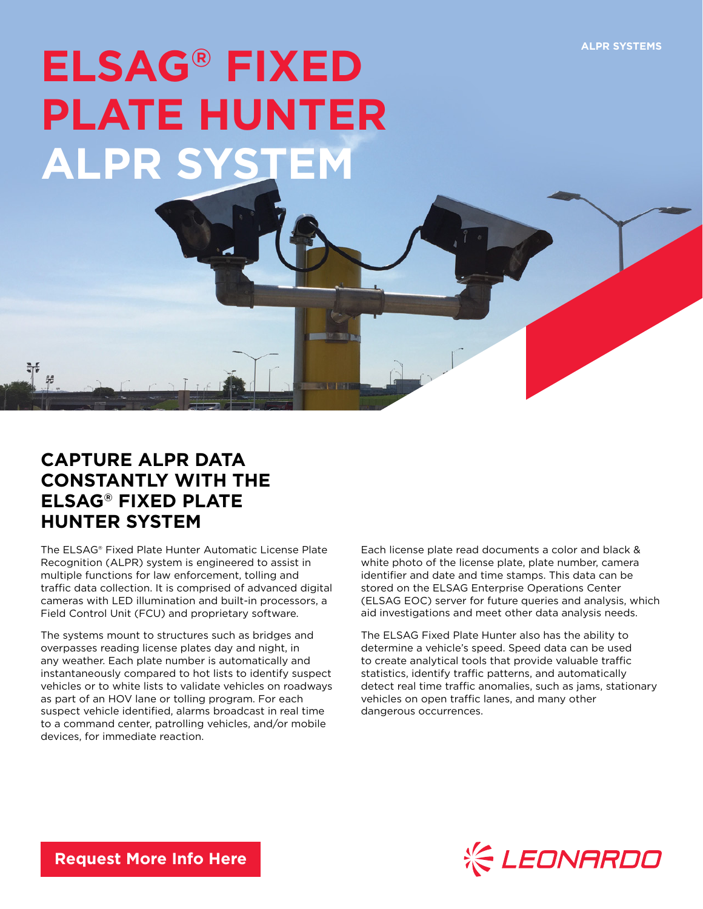## **ELSAG® FIXED PLATE HUNTER ALPR SYSTEM**

## **CAPTURE ALPR DATA CONSTANTLY WITH THE ELSAG® FIXED PLATE HUNTER SYSTEM**

 $\mathcal{L}$ 

The ELSAG® Fixed Plate Hunter Automatic License Plate Recognition (ALPR) system is engineered to assist in multiple functions for law enforcement, tolling and traffic data collection. It is comprised of advanced digital cameras with LED illumination and built-in processors, a Field Control Unit (FCU) and proprietary software.

The systems mount to structures such as bridges and overpasses reading license plates day and night, in any weather. Each plate number is automatically and instantaneously compared to hot lists to identify suspect vehicles or to white lists to validate vehicles on roadways as part of an HOV lane or tolling program. For each suspect vehicle identified, alarms broadcast in real time to a command center, patrolling vehicles, and/or mobile devices, for immediate reaction.

Each license plate read documents a color and black & white photo of the license plate, plate number, camera identifier and date and time stamps. This data can be stored on the ELSAG Enterprise Operations Center (ELSAG EOC) server for future queries and analysis, which aid investigations and meet other data analysis needs.

The ELSAG Fixed Plate Hunter also has the ability to determine a vehicle's speed. Speed data can be used to create analytical tools that provide valuable traffic statistics, identify traffic patterns, and automatically detect real time traffic anomalies, such as jams, stationary vehicles on open traffic lanes, and many other dangerous occurrences.



**[Request More Info Here](https://www.leonardocompany-us.com/lpr/qr_info_request)**